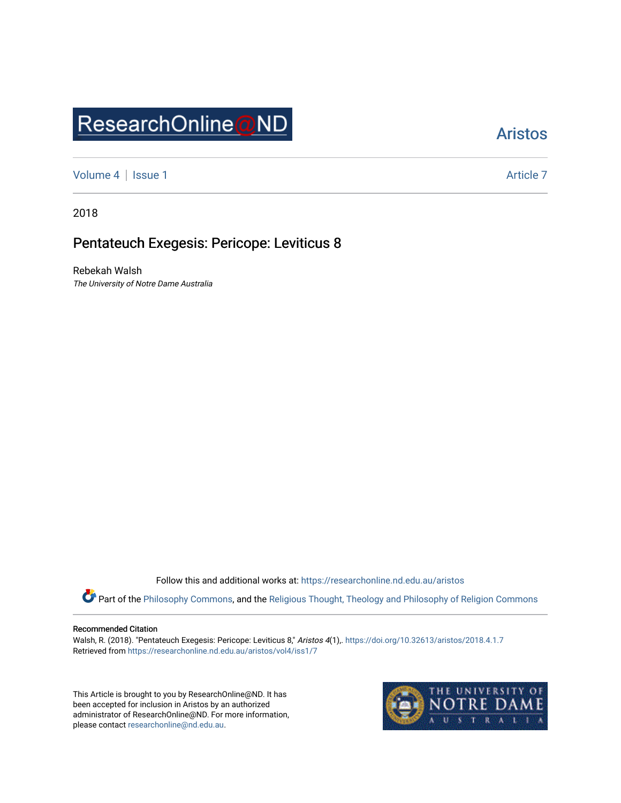# ResearchOnline@ND

## [Aristos](https://researchonline.nd.edu.au/aristos)

[Volume 4](https://researchonline.nd.edu.au/aristos/vol4) | [Issue 1](https://researchonline.nd.edu.au/aristos/vol4/iss1) Article 7

2018

## Pentateuch Exegesis: Pericope: Leviticus 8

Rebekah Walsh The University of Notre Dame Australia

Follow this and additional works at: [https://researchonline.nd.edu.au/aristos](https://researchonline.nd.edu.au/aristos?utm_source=researchonline.nd.edu.au%2Faristos%2Fvol4%2Fiss1%2F7&utm_medium=PDF&utm_campaign=PDFCoverPages) 

Part of the [Philosophy Commons](http://network.bepress.com/hgg/discipline/525?utm_source=researchonline.nd.edu.au%2Faristos%2Fvol4%2Fiss1%2F7&utm_medium=PDF&utm_campaign=PDFCoverPages), and the Religious Thought, Theology and Philosophy of Religion Commons

#### Recommended Citation

Walsh, R. (2018). "Pentateuch Exegesis: Pericope: Leviticus 8," Aristos 4(1),. https://doi.org/10.32613/aristos/2018.4.1.7 Retrieved from [https://researchonline.nd.edu.au/aristos/vol4/iss1/7](https://researchonline.nd.edu.au/aristos/vol4/iss1/7?utm_source=researchonline.nd.edu.au%2Faristos%2Fvol4%2Fiss1%2F7&utm_medium=PDF&utm_campaign=PDFCoverPages)

This Article is brought to you by ResearchOnline@ND. It has been accepted for inclusion in Aristos by an authorized administrator of ResearchOnline@ND. For more information, please contact [researchonline@nd.edu.au.](mailto:researchonline@nd.edu.au)

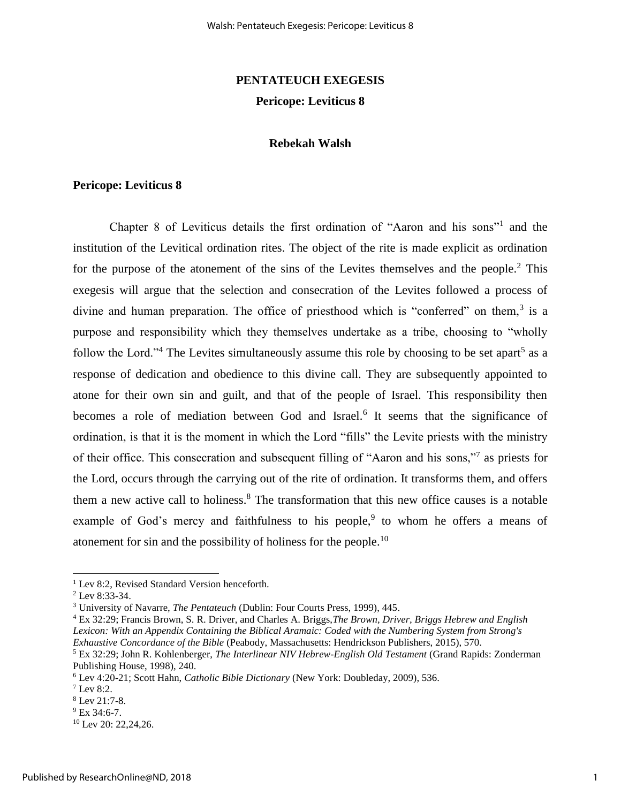## **PENTATEUCH EXEGESIS Pericope: Leviticus 8**

#### **Rebekah Walsh**

#### **Pericope: Leviticus 8**

Chapter 8 of Leviticus details the first ordination of "Aaron and his sons"<sup>1</sup> and the institution of the Levitical ordination rites. The object of the rite is made explicit as ordination for the purpose of the atonement of the sins of the Levites themselves and the people. $2$  This exegesis will argue that the selection and consecration of the Levites followed a process of divine and human preparation. The office of priesthood which is "conferred" on them, $3$  is a purpose and responsibility which they themselves undertake as a tribe, choosing to "wholly follow the Lord."<sup>4</sup> The Levites simultaneously assume this role by choosing to be set apart<sup>5</sup> as a response of dedication and obedience to this divine call. They are subsequently appointed to atone for their own sin and guilt, and that of the people of Israel. This responsibility then becomes a role of mediation between God and Israel.<sup>6</sup> It seems that the significance of ordination, is that it is the moment in which the Lord "fills" the Levite priests with the ministry of their office. This consecration and subsequent filling of "Aaron and his sons,"<sup>7</sup> as priests for the Lord, occurs through the carrying out of the rite of ordination. It transforms them, and offers them a new active call to holiness.<sup>8</sup> The transformation that this new office causes is a notable example of God's mercy and faithfulness to his people,  $9$  to whom he offers a means of atonement for sin and the possibility of holiness for the people.<sup>10</sup>

l

<sup>&</sup>lt;sup>1</sup> Lev 8:2, Revised Standard Version henceforth.

<sup>2</sup> Lev 8:33-34.

<sup>3</sup> University of Navarre, *The Pentateuch* (Dublin: Four Courts Press, 1999), 445.

<sup>4</sup> Ex 32:29; Francis Brown, S. R. Driver, and Charles A. Briggs,*The Brown, Driver, Briggs Hebrew and English Lexicon: With an Appendix Containing the Biblical Aramaic: Coded with the Numbering System from Strong's Exhaustive Concordance of the Bible* (Peabody, Massachusetts: Hendrickson Publishers, 2015), 570.

<sup>5</sup> Ex 32:29; John R. Kohlenberger, *The Interlinear NIV Hebrew-English Old Testament* (Grand Rapids: Zonderman Publishing House, 1998), 240.

<sup>6</sup> Lev 4:20-21; Scott Hahn, *Catholic Bible Dictionary* (New York: Doubleday, 2009), 536.

 $7$  Lev 8:2.

<sup>8</sup> Lev 21:7-8.

<sup>&</sup>lt;sup>9</sup> Ex 34:6-7.

<sup>&</sup>lt;sup>10</sup> Lev 20: 22,24,26.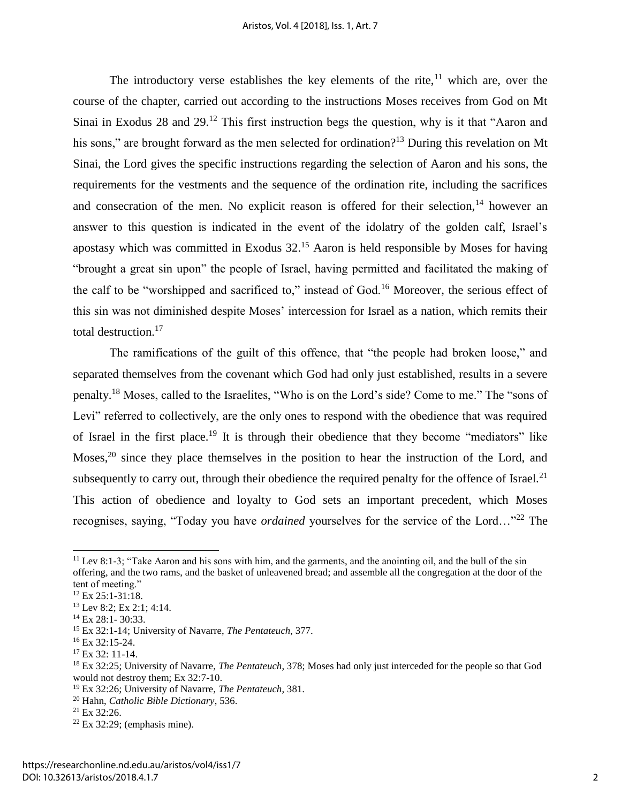The introductory verse establishes the key elements of the rite, $11$  which are, over the course of the chapter, carried out according to the instructions Moses receives from God on Mt Sinai in Exodus 28 and 29.<sup>12</sup> This first instruction begs the question, why is it that "Aaron and his sons," are brought forward as the men selected for ordination?<sup>13</sup> During this revelation on Mt Sinai, the Lord gives the specific instructions regarding the selection of Aaron and his sons, the requirements for the vestments and the sequence of the ordination rite, including the sacrifices and consecration of the men. No explicit reason is offered for their selection, $14$  however an answer to this question is indicated in the event of the idolatry of the golden calf, Israel's apostasy which was committed in Exodus  $32<sup>15</sup>$  Aaron is held responsible by Moses for having "brought a great sin upon" the people of Israel, having permitted and facilitated the making of the calf to be "worshipped and sacrificed to," instead of God.<sup>16</sup> Moreover, the serious effect of this sin was not diminished despite Moses' intercession for Israel as a nation, which remits their total destruction.<sup>17</sup>

The ramifications of the guilt of this offence, that "the people had broken loose," and separated themselves from the covenant which God had only just established, results in a severe penalty.<sup>18</sup> Moses, called to the Israelites, "Who is on the Lord's side? Come to me." The "sons of Levi" referred to collectively, are the only ones to respond with the obedience that was required of Israel in the first place.<sup>19</sup> It is through their obedience that they become "mediators" like Moses,  $20$  since they place themselves in the position to hear the instruction of the Lord, and subsequently to carry out, through their obedience the required penalty for the offence of Israel.<sup>21</sup> This action of obedience and loyalty to God sets an important precedent, which Moses recognises, saying, "Today you have *ordained* yourselves for the service of the Lord…"<sup>22</sup> The

l

<sup>&</sup>lt;sup>11</sup> Lev 8:1-3; "Take Aaron and his sons with him, and the garments, and the anointing oil, and the bull of the sin offering, and the two rams, and the basket of unleavened bread; and assemble all the congregation at the door of the tent of meeting."

<sup>12</sup> Ex 25:1-31:18.

<sup>13</sup> Lev 8:2; Ex 2:1; 4:14.

<sup>&</sup>lt;sup>14</sup> Ex 28:1-30:33.

<sup>15</sup> Ex 32:1-14; University of Navarre, *The Pentateuch*, 377.

<sup>16</sup> Ex 32:15-24.

<sup>&</sup>lt;sup>17</sup> Ex 32: 11-14.

<sup>18</sup> Ex 32:25; University of Navarre, *The Pentateuch*, 378; Moses had only just interceded for the people so that God would not destroy them; Ex 32:7-10.

<sup>19</sup> Ex 32:26; University of Navarre, *The Pentateuch*, 381.

<sup>20</sup> Hahn, *Catholic Bible Dictionary*, 536.

 $21$  Ex 32:26.

 $22$  Ex 32:29; (emphasis mine).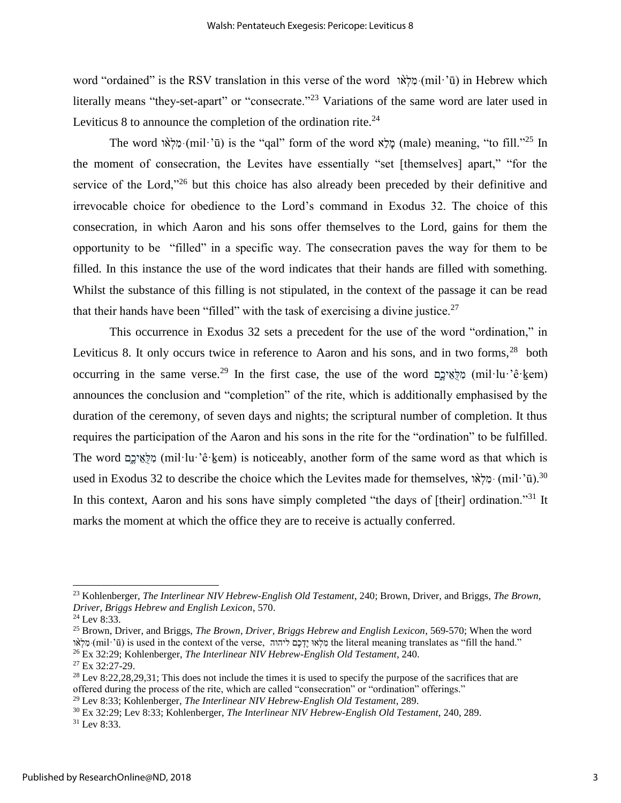word "ordained" is the RSV translation in this verse of the word ו מֲלָאוֹ (mil·'ū) in Hebrew which literally means "they-set-apart" or "consecrate."<sup>23</sup> Variations of the same word are later used in Leviticus 8 to announce the completion of the ordination rite. $^{24}$ 

The word וֹמָלְאֹוּ (mil·'ū) is the "qal" form of the word מֲלָא (male) meaning, "to fill."<sup>25</sup> In the moment of consecration, the Levites have essentially "set [themselves] apart," "for the service of the Lord,"<sup>26</sup> but this choice has also already been preceded by their definitive and irrevocable choice for obedience to the Lord's command in Exodus 32. The choice of this consecration, in which Aaron and his sons offer themselves to the Lord, gains for them the opportunity to be "filled" in a specific way. The consecration paves the way for them to be filled. In this instance the use of the word indicates that their hands are filled with something. Whilst the substance of this filling is not stipulated, in the context of the passage it can be read that their hands have been "filled" with the task of exercising a divine justice.<sup>27</sup>

This occurrence in Exodus 32 sets a precedent for the use of the word "ordination," in Leviticus 8. It only occurs twice in reference to Aaron and his sons, and in two forms,  $28$  both occurring in the same verse.<sup>29</sup> In the first case, the use of the word מַלְאֵיכֶם (mil·lu·'ê·kem) announces the conclusion and "completion" of the rite, which is additionally emphasised by the duration of the ceremony, of seven days and nights; the scriptural number of completion. It thus requires the participation of the Aaron and his sons in the rite for the "ordination" to be fulfilled. The word  $\alpha$ לאיכם (mil·lu·'ê·kem) is noticeably, another form of the same word as that which is used in Exodus 32 to describe the choice which the Levites made for themselves, וה ימלאו (mil·'ū).<sup>30</sup> In this context, Aaron and his sons have simply completed "the days of [their] ordination."<sup>31</sup> It marks the moment at which the office they are to receive is actually conferred.

<sup>23</sup> Kohlenberger, *The Interlinear NIV Hebrew-English Old Testament*, 240; Brown, Driver, and Briggs, *The Brown, Driver, Briggs Hebrew and English Lexicon*, 570.

 $24$  Lev 8:33.

<sup>25</sup> Brown, Driver, and Briggs, *The Brown, Driver, Briggs Hebrew and English Lexicon*, 569-570; When the word מלאו (mil·'ū) is used in the context of the verse, מלאוּ יֵדְכָם ליהוה) the literal meaning translates as "fill the hand." <sup>26</sup> Ex 32:29; Kohlenberger, *The Interlinear NIV Hebrew-English Old Testament*, 240.

<sup>27</sup> Ex 32:27-29.

<sup>&</sup>lt;sup>28</sup> Lev 8:22,28,29,31; This does not include the times it is used to specify the purpose of the sacrifices that are offered during the process of the rite, which are called "consecration" or "ordination" offerings."

<sup>29</sup> Lev 8:33; Kohlenberger, *The Interlinear NIV Hebrew-English Old Testament*, 289.

<sup>30</sup> Ex 32:29; Lev 8:33; Kohlenberger, *The Interlinear NIV Hebrew-English Old Testament*, 240, 289.

<sup>31</sup> Lev 8:33.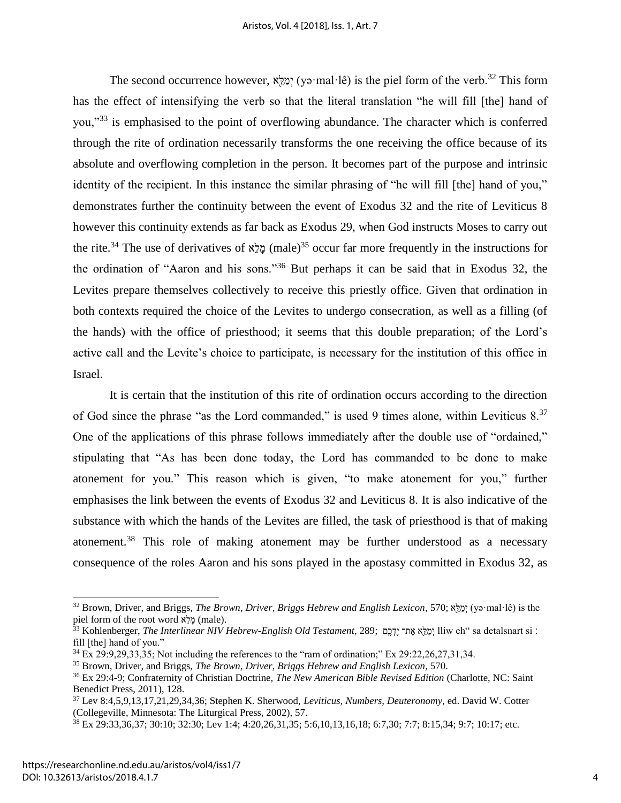The second occurrence however, אֲלֵא (yə·mal·lê) is the piel form of the verb.<sup>32</sup> This form has the effect of intensifying the verb so that the literal translation "he will fill [the] hand of you,"<sup>33</sup> is emphasised to the point of overflowing abundance. The character which is conferred through the rite of ordination necessarily transforms the one receiving the office because of its absolute and overflowing completion in the person. It becomes part of the purpose and intrinsic identity of the recipient. In this instance the similar phrasing of "he will fill [the] hand of you," demonstrates further the continuity between the event of Exodus 32 and the rite of Leviticus 8 however this continuity extends as far back as Exodus 29, when God instructs Moses to carry out the rite.<sup>34</sup> The use of derivatives of  $\frac{x}{a}$  (male)<sup>35</sup> occur far more frequently in the instructions for the ordination of "Aaron and his sons."<sup>36</sup> But perhaps it can be said that in Exodus 32, the Levites prepare themselves collectively to receive this priestly office. Given that ordination in both contexts required the choice of the Levites to undergo consecration, as well as a filling (of the hands) with the office of priesthood; it seems that this double preparation; of the Lord's active call and the Levite's choice to participate, is necessary for the institution of this office in Israel.

It is certain that the institution of this rite of ordination occurs according to the direction of God since the phrase "as the Lord commanded," is used 9 times alone, within Leviticus 8.<sup>37</sup> One of the applications of this phrase follows immediately after the double use of "ordained," stipulating that "As has been done today, the Lord has commanded to be done to make atonement for you." This reason which is given, "to make atonement for you," further emphasises the link between the events of Exodus 32 and Leviticus 8. It is also indicative of the substance with which the hands of the Levites are filled, the task of priesthood is that of making atonement.<sup>38</sup> This role of making atonement may be further understood as a necessary consequence of the roles Aaron and his sons played in the apostasy committed in Exodus 32, as

<sup>32</sup> Brown, Driver, and Briggs, *The Brown, Driver, Briggs Hebrew and English Lexicon*, 570; אֵֵּ֖ל ַמְי) yə·mal·lê) is the piel form of the root word מֵלָא (male).

 $^{33}$  Kohlenberger, *The Interlinear NIV Hebrew-English Old Testament*, 289; אֲתִּר יֵדְבֶם ְliw eh" sa detalsnart si : fill [the] hand of you."

 $34$  Ex 29:9,29,33,35; Not including the references to the "ram of ordination;" Ex 29:22,26,27,31,34.

<sup>35</sup> Brown, Driver, and Briggs, *The Brown, Driver, Briggs Hebrew and English Lexicon*, 570.

<sup>36</sup> Ex 29:4-9; Confraternity of Christian Doctrine, *The New American Bible Revised Edition* (Charlotte, NC: Saint Benedict Press, 2011), 128.

<sup>37</sup> Lev 8:4,5,9,13,17,21,29,34,36; Stephen K. Sherwood, *Leviticus, Numbers, Deuteronomy*, ed. David W. Cotter (Collegeville, Minnesota: The Liturgical Press, 2002), 57.

<sup>38</sup> Ex 29:33,36,37; 30:10; 32:30; Lev 1:4; 4:20,26,31,35; 5:6,10,13,16,18; 6:7,30; 7:7; 8:15,34; 9:7; 10:17; etc.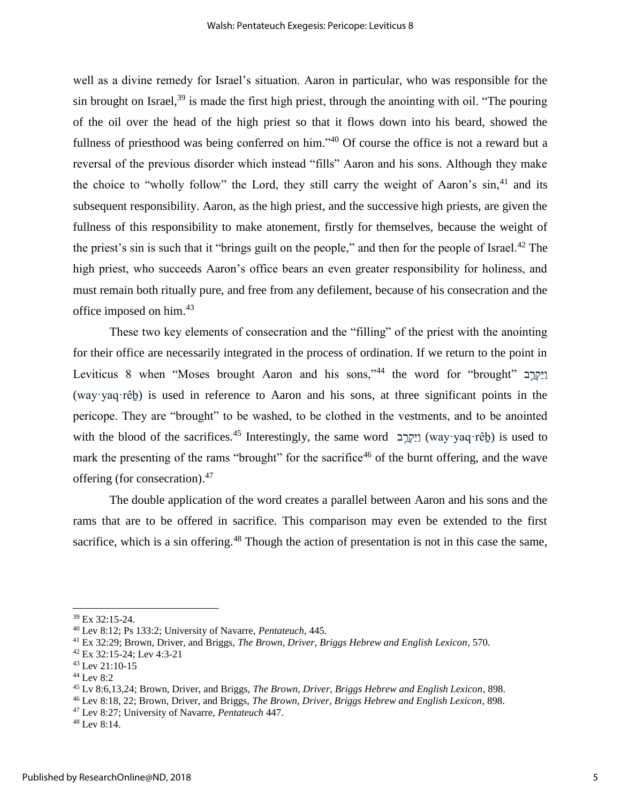well as a divine remedy for Israel's situation. Aaron in particular, who was responsible for the sin brought on Israel, $39$  is made the first high priest, through the anointing with oil. "The pouring of the oil over the head of the high priest so that it flows down into his beard, showed the fullness of priesthood was being conferred on him."<sup>40</sup> Of course the office is not a reward but a reversal of the previous disorder which instead "fills" Aaron and his sons. Although they make the choice to "wholly follow" the Lord, they still carry the weight of Aaron's  $\sin<sub>1</sub>^{41}$  and its subsequent responsibility. Aaron, as the high priest, and the successive high priests, are given the fullness of this responsibility to make atonement, firstly for themselves, because the weight of the priest's sin is such that it "brings guilt on the people," and then for the people of Israel.<sup>42</sup> The high priest, who succeeds Aaron's office bears an even greater responsibility for holiness, and must remain both ritually pure, and free from any defilement, because of his consecration and the office imposed on him.<sup>43</sup>

These two key elements of consecration and the "filling" of the priest with the anointing for their office are necessarily integrated in the process of ordination. If we return to the point in Leviticus 8 when "Moses brought Aaron and his sons,"<sup>44</sup> the word for "brought" וַיַּקְרֵב (way·yaq·rêḇ) is used in reference to Aaron and his sons, at three significant points in the pericope. They are "brought" to be washed, to be clothed in the vestments, and to be anointed with the blood of the sacrifices.<sup>45</sup> Interestingly, the same word **ב** וֹיִקְרֵב (way·yaq·rêb) is used to mark the presenting of the rams "brought" for the sacrifice<sup>46</sup> of the burnt offering, and the wave offering (for consecration).<sup>47</sup>

The double application of the word creates a parallel between Aaron and his sons and the rams that are to be offered in sacrifice. This comparison may even be extended to the first sacrifice, which is a sin offering.<sup>48</sup> Though the action of presentation is not in this case the same,

<sup>39</sup> Ex 32:15-24.

<sup>40</sup> Lev 8:12; Ps 133:2; University of Navarre, *Pentateuch*, 445.

<sup>41</sup> Ex 32:29; Brown, Driver, and Briggs, *The Brown, Driver, Briggs Hebrew and English Lexicon*, 570.

<sup>42</sup> Ex 32:15-24; Lev 4:3-21

<sup>43</sup> Lev 21:10-15

<sup>44</sup> Lev 8:2

<sup>45</sup> Lv 8:6,13,24; Brown, Driver, and Briggs, *The Brown, Driver, Briggs Hebrew and English Lexicon*, 898.

<sup>46</sup> Lev 8:18, 22; Brown, Driver, and Briggs, *The Brown, Driver, Briggs Hebrew and English Lexicon*, 898.

<sup>47</sup> Lev 8:27; University of Navarre, *Pentateuch* 447.

<sup>48</sup> Lev 8:14.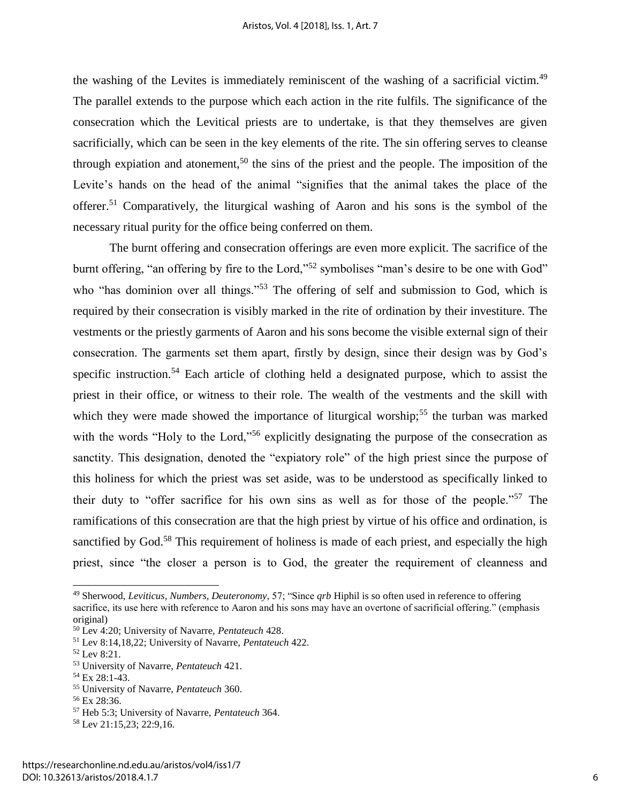the washing of the Levites is immediately reminiscent of the washing of a sacrificial victim.<sup>49</sup> The parallel extends to the purpose which each action in the rite fulfils. The significance of the consecration which the Levitical priests are to undertake, is that they themselves are given sacrificially, which can be seen in the key elements of the rite. The sin offering serves to cleanse through expiation and atonement,<sup>50</sup> the sins of the priest and the people. The imposition of the Levite's hands on the head of the animal "signifies that the animal takes the place of the offerer.<sup>51</sup> Comparatively, the liturgical washing of Aaron and his sons is the symbol of the necessary ritual purity for the office being conferred on them.

The burnt offering and consecration offerings are even more explicit. The sacrifice of the burnt offering, "an offering by fire to the Lord,"<sup>52</sup> symbolises "man's desire to be one with God" who "has dominion over all things."<sup>53</sup> The offering of self and submission to God, which is required by their consecration is visibly marked in the rite of ordination by their investiture. The vestments or the priestly garments of Aaron and his sons become the visible external sign of their consecration. The garments set them apart, firstly by design, since their design was by God's specific instruction.<sup>54</sup> Each article of clothing held a designated purpose, which to assist the priest in their office, or witness to their role. The wealth of the vestments and the skill with which they were made showed the importance of liturgical worship;<sup>55</sup> the turban was marked with the words "Holy to the Lord,"<sup>56</sup> explicitly designating the purpose of the consecration as sanctity. This designation, denoted the "expiatory role" of the high priest since the purpose of this holiness for which the priest was set aside, was to be understood as specifically linked to their duty to "offer sacrifice for his own sins as well as for those of the people."<sup>57</sup> The ramifications of this consecration are that the high priest by virtue of his office and ordination, is sanctified by God.<sup>58</sup> This requirement of holiness is made of each priest, and especially the high priest, since "the closer a person is to God, the greater the requirement of cleanness and

<sup>49</sup> Sherwood, *Leviticus, Numbers, Deuteronomy*, 57; "Since *qrb* Hiphil is so often used in reference to offering sacrifice, its use here with reference to Aaron and his sons may have an overtone of sacrificial offering." (emphasis original)

<sup>50</sup> Lev 4:20; University of Navarre, *Pentateuch* 428.

<sup>51</sup> Lev 8:14,18,22; University of Navarre, *Pentateuch* 422.

<sup>52</sup> Lev 8:21.

<sup>53</sup> University of Navarre, *Pentateuch* 421.

<sup>54</sup> Ex 28:1-43.

<sup>55</sup> University of Navarre, *Pentateuch* 360.

<sup>56</sup> Ex 28:36.

<sup>57</sup> Heb 5:3; University of Navarre, *Pentateuch* 364.

<sup>58</sup> Lev 21:15,23; 22:9,16.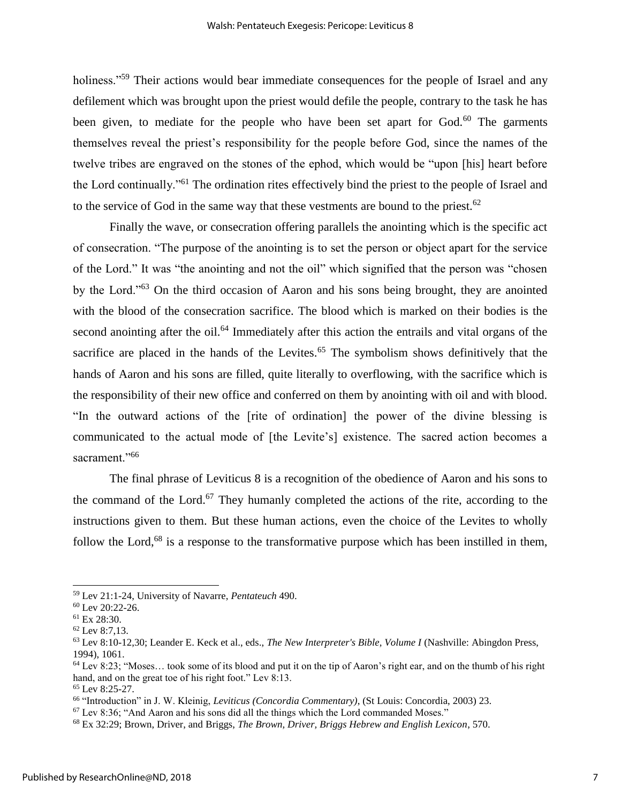holiness."<sup>59</sup> Their actions would bear immediate consequences for the people of Israel and any defilement which was brought upon the priest would defile the people, contrary to the task he has been given, to mediate for the people who have been set apart for  $God.^{60}$ . The garments themselves reveal the priest's responsibility for the people before God, since the names of the twelve tribes are engraved on the stones of the ephod, which would be "upon [his] heart before the Lord continually."<sup>61</sup> The ordination rites effectively bind the priest to the people of Israel and to the service of God in the same way that these vestments are bound to the priest.<sup>62</sup>

Finally the wave, or consecration offering parallels the anointing which is the specific act of consecration. "The purpose of the anointing is to set the person or object apart for the service of the Lord." It was "the anointing and not the oil" which signified that the person was "chosen by the Lord."<sup>63</sup> On the third occasion of Aaron and his sons being brought, they are anointed with the blood of the consecration sacrifice. The blood which is marked on their bodies is the second anointing after the oil.<sup>64</sup> Immediately after this action the entrails and vital organs of the sacrifice are placed in the hands of the Levites. $65$  The symbolism shows definitively that the hands of Aaron and his sons are filled, quite literally to overflowing, with the sacrifice which is the responsibility of their new office and conferred on them by anointing with oil and with blood. "In the outward actions of the [rite of ordination] the power of the divine blessing is communicated to the actual mode of [the Levite's] existence. The sacred action becomes a sacrament."<sup>66</sup>

The final phrase of Leviticus 8 is a recognition of the obedience of Aaron and his sons to the command of the Lord.<sup>67</sup> They humanly completed the actions of the rite, according to the instructions given to them. But these human actions, even the choice of the Levites to wholly follow the Lord,<sup>68</sup> is a response to the transformative purpose which has been instilled in them,

<sup>59</sup> Lev 21:1-24, University of Navarre, *Pentateuch* 490.

<sup>60</sup> Lev 20:22-26.

<sup>61</sup> Ex 28:30.

<sup>62</sup> Lev 8:7,13.

<sup>63</sup> Lev 8:10-12,30; Leander E. Keck et al., eds., *The New Interpreter's Bible, Volume I* (Nashville: Abingdon Press, 1994), 1061.

 $64$  Lev 8:23; "Moses... took some of its blood and put it on the tip of Aaron's right ear, and on the thumb of his right hand, and on the great toe of his right foot." Lev 8:13.

<sup>65</sup> Lev 8:25-27.

<sup>66</sup> "Introduction" in J. W. Kleinig, *Leviticus (Concordia Commentary)*, (St Louis: Concordia, 2003) 23.

 $67$  Lev 8:36; "And Aaron and his sons did all the things which the Lord commanded Moses."

<sup>68</sup> Ex 32:29; Brown, Driver, and Briggs, *The Brown, Driver, Briggs Hebrew and English Lexicon*, 570.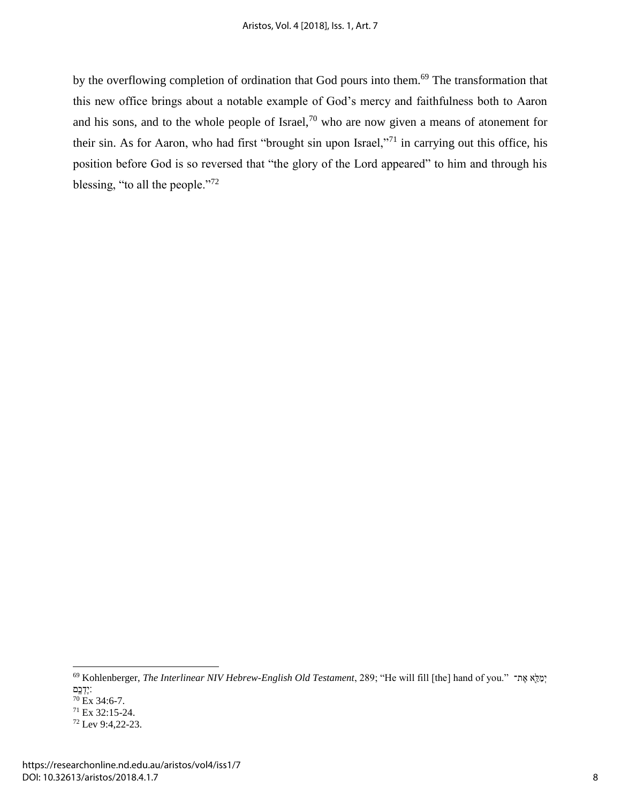by the overflowing completion of ordination that God pours into them.<sup>69</sup> The transformation that this new office brings about a notable example of God's mercy and faithfulness both to Aaron and his sons, and to the whole people of Israel,<sup>70</sup> who are now given a means of atonement for their sin. As for Aaron, who had first "brought sin upon Israel,"<sup>71</sup> in carrying out this office, his position before God is so reversed that "the glory of the Lord appeared" to him and through his blessing, "to all the people."<sup>72</sup>

<sup>&</sup>lt;sup>69</sup> Kohlenberger, *The Interlinear NIV Hebrew-English Old Testament*, 289; "He will fill [the] hand of you." מֵאֵ ׃י דְ כ ֶֽם <sup>70</sup> Ex 34:6-7.

<sup>71</sup> Ex 32:15-24.

<sup>72</sup> Lev 9:4,22-23.